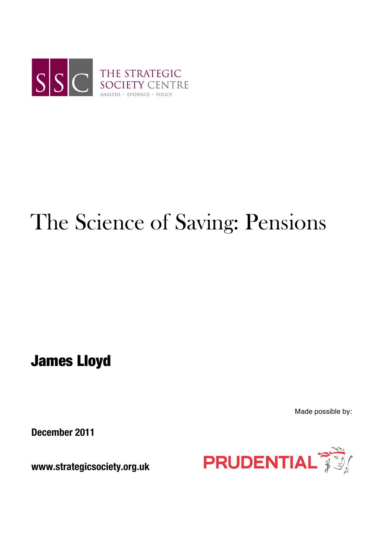

# The Science of Saving: Pensions

James Lloyd

Made possible by:

**December 2011**



**www.strategicsociety.org.uk**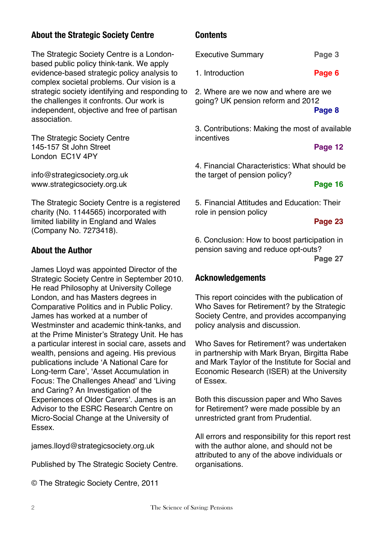#### **About the Strategic Society Centre**

The Strategic Society Centre is a Londonbased public policy think-tank. We apply evidence-based strategic policy analysis to complex societal problems. Our vision is a strategic society identifying and responding to the challenges it confronts. Our work is independent, objective and free of partisan association.

The Strategic Society Centre 145-157 St John Street London EC1V 4PY

info@strategicsociety.org.uk www.strategicsociety.org.uk

The Strategic Society Centre is a registered charity (No. 1144565) incorporated with limited liability in England and Wales (Company No. 7273418).

#### **About the Author**

James Lloyd was appointed Director of the Strategic Society Centre in September 2010. He read Philosophy at University College London, and has Masters degrees in Comparative Politics and in Public Policy. James has worked at a number of Westminster and academic think-tanks, and at the Prime Minister's Strategy Unit. He has a particular interest in social care, assets and wealth, pensions and ageing. His previous publications include ʻA National Care for Long-term Care', ʻAsset Accumulation in Focus: The Challenges Ahead' and ʻLiving and Caring? An Investigation of the Experiences of Older Carers'. James is an Advisor to the ESRC Research Centre on Micro-Social Change at the University of Essex.

james.lloyd@strategicsociety.org.uk

Published by The Strategic Society Centre.

© The Strategic Society Centre, 2011

#### **Contents**

Executive Summary **Page 3** 

1. Introduction **Page 6**

2. Where are we now and where are we going? UK pension reform and 2012

**Page 8**

3. Contributions: Making the most of available incentives

#### **Page 12**

4. Financial Characteristics: What should be the target of pension policy?

**Page 16**

5. Financial Attitudes and Education: Their role in pension policy

**Page 23**

6. Conclusion: How to boost participation in pension saving and reduce opt-outs? **Page 27**

#### **Acknowledgements**

This report coincides with the publication of Who Saves for Retirement? by the Strategic Society Centre, and provides accompanying policy analysis and discussion.

Who Saves for Retirement? was undertaken in partnership with Mark Bryan, Birgitta Rabe and Mark Taylor of the Institute for Social and Economic Research (ISER) at the University of Essex.

Both this discussion paper and Who Saves for Retirement? were made possible by an unrestricted grant from Prudential.

All errors and responsibility for this report rest with the author alone, and should not be attributed to any of the above individuals or organisations.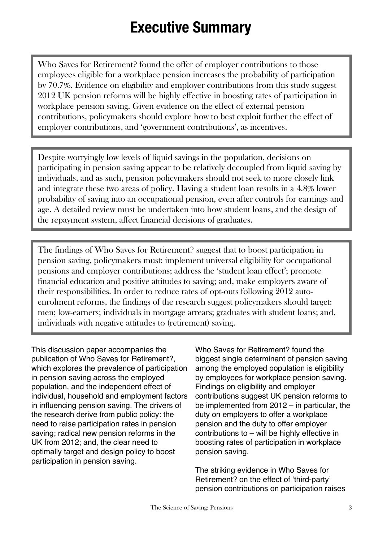### **Executive Summary**

Who Saves for Retirement? found the offer of employer contributions to those employees eligible for a workplace pension increases the probability of participation by 70.7%. Evidence on eligibility and employer contributions from this study suggest 2012 UK pension reforms will be highly effective in boosting rates of participation in workplace pension saving. Given evidence on the effect of external pension contributions, policymakers should explore how to best exploit further the effect of employer contributions, and 'government contributions', as incentives.

Despite worryingly low levels of liquid savings in the population, decisions on participating in pension saving appear to be relatively decoupled from liquid saving by individuals, and as such, pension policymakers should not seek to more closely link and integrate these two areas of policy. Having a student loan results in a 4.8% lower probability of saving into an occupational pension, even after controls for earnings and age. A detailed review must be undertaken into how student loans, and the design of the repayment system, affect financial decisions of graduates.

The findings of Who Saves for Retirement? suggest that to boost participation in pension saving, policymakers must: implement universal eligibility for occupational pensions and employer contributions; address the 'student loan effect'; promote financial education and positive attitudes to saving; and, make employers aware of their responsibilities. In order to reduce rates of opt-outs following 2012 autoenrolment reforms, the findings of the research suggest policymakers should target: men; low-earners; individuals in mortgage arrears; graduates with student loans; and, individuals with negative attitudes to (retirement) saving.

This discussion paper accompanies the publication of Who Saves for Retirement?, which explores the prevalence of participation in pension saving across the employed population, and the independent effect of individual, household and employment factors in influencing pension saving. The drivers of the research derive from public policy: the need to raise participation rates in pension saving; radical new pension reforms in the UK from 2012; and, the clear need to optimally target and design policy to boost participation in pension saving.

Who Saves for Retirement? found the biggest single determinant of pension saving among the employed population is eligibility by employees for workplace pension saving. Findings on eligibility and employer contributions suggest UK pension reforms to be implemented from 2012 – in particular, the duty on employers to offer a workplace pension and the duty to offer employer contributions to – will be highly effective in boosting rates of participation in workplace pension saving.

The striking evidence in Who Saves for Retirement? on the effect of ʻthird-party' pension contributions on participation raises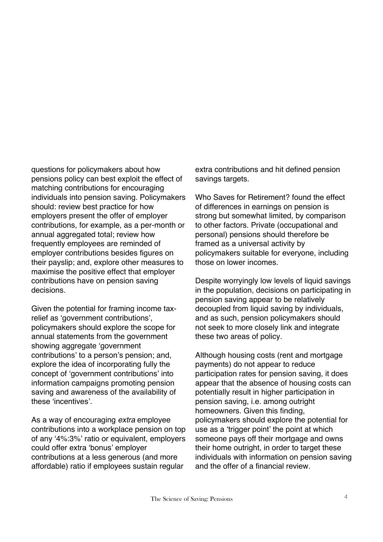questions for policymakers about how pensions policy can best exploit the effect of matching contributions for encouraging individuals into pension saving. Policymakers should: review best practice for how employers present the offer of employer contributions, for example, as a per-month or annual aggregated total; review how frequently employees are reminded of employer contributions besides figures on their payslip; and, explore other measures to maximise the positive effect that employer contributions have on pension saving decisions.

Given the potential for framing income taxrelief as ʻgovernment contributions', policymakers should explore the scope for annual statements from the government showing aggregate ʻgovernment contributions' to a person's pension; and, explore the idea of incorporating fully the concept of ʻgovernment contributions' into information campaigns promoting pension saving and awareness of the availability of these ʻincentives'.

As a way of encouraging *extra* employee contributions into a workplace pension on top of any ʻ4%:3%' ratio or equivalent, employers could offer extra ʻbonus' employer contributions at a less generous (and more affordable) ratio if employees sustain regular

extra contributions and hit defined pension savings targets.

Who Saves for Retirement? found the effect of differences in earnings on pension is strong but somewhat limited, by comparison to other factors. Private (occupational and personal) pensions should therefore be framed as a universal activity by policymakers suitable for everyone, including those on lower incomes.

Despite worryingly low levels of liquid savings in the population, decisions on participating in pension saving appear to be relatively decoupled from liquid saving by individuals, and as such, pension policymakers should not seek to more closely link and integrate these two areas of policy.

Although housing costs (rent and mortgage payments) do not appear to reduce participation rates for pension saving, it does appear that the absence of housing costs can potentially result in higher participation in pension saving, i.e. among outright homeowners. Given this finding, policymakers should explore the potential for use as a ʻtrigger point' the point at which someone pays off their mortgage and owns their home outright, in order to target these individuals with information on pension saving and the offer of a financial review.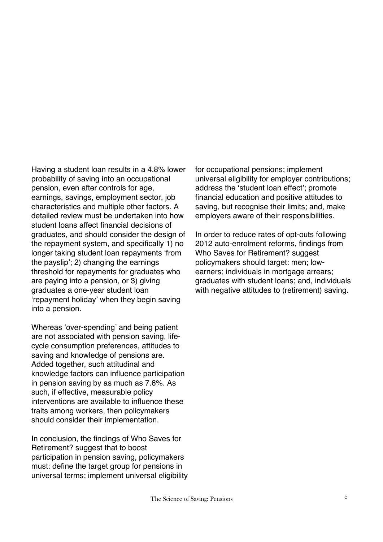Having a student loan results in a 4.8% lower probability of saving into an occupational pension, even after controls for age, earnings, savings, employment sector, job characteristics and multiple other factors. A detailed review must be undertaken into how student loans affect financial decisions of graduates, and should consider the design of the repayment system, and specifically 1) no longer taking student loan repayments ʻfrom the payslip'; 2) changing the earnings threshold for repayments for graduates who are paying into a pension, or 3) giving graduates a one-year student loan ʻrepayment holiday' when they begin saving into a pension.

Whereas ʻover-spending' and being patient are not associated with pension saving, lifecycle consumption preferences, attitudes to saving and knowledge of pensions are. Added together, such attitudinal and knowledge factors can influence participation in pension saving by as much as 7.6%. As such, if effective, measurable policy interventions are available to influence these traits among workers, then policymakers should consider their implementation.

In conclusion, the findings of Who Saves for Retirement? suggest that to boost participation in pension saving, policymakers must: define the target group for pensions in universal terms; implement universal eligibility for occupational pensions; implement universal eligibility for employer contributions; address the ʻstudent loan effect'; promote financial education and positive attitudes to saving, but recognise their limits; and, make employers aware of their responsibilities.

In order to reduce rates of opt-outs following 2012 auto-enrolment reforms, findings from Who Saves for Retirement? suggest policymakers should target: men; lowearners; individuals in mortgage arrears; graduates with student loans; and, individuals with negative attitudes to (retirement) saving.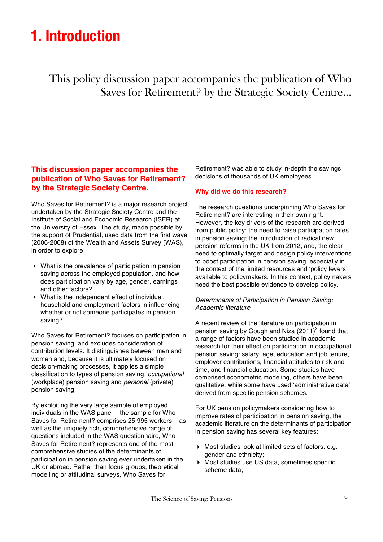### **1. Introduction**

This policy discussion paper accompanies the publication of Who Saves for Retirement? by the Strategic Society Centre...

#### **This discussion paper accompanies the publication of Who Saves for Retirement?**<sup>1</sup> **by the Strategic Society Centre.**

Who Saves for Retirement? is a major research project undertaken by the Strategic Society Centre and the Institute of Social and Economic Research (ISER) at the University of Essex. The study, made possible by the support of Prudential, used data from the first wave (2006-2008) of the Wealth and Assets Survey (WAS), in order to explore:

- $\triangleright$  What is the prevalence of participation in pension saving across the employed population, and how does participation vary by age, gender, earnings and other factors?
- ! What is the independent effect of individual, household and employment factors in influencing whether or not someone participates in pension saving?

Who Saves for Retirement? focuses on participation in pension saving, and excludes consideration of contribution levels. It distinguishes between men and women and, because it is ultimately focused on decision-making processes, it applies a simple classification to types of pension saving: *occupational* (workplace) pension saving and *personal* (private) pension saving.

By exploiting the very large sample of employed individuals in the WAS panel – the sample for Who Saves for Retirement? comprises 25,995 workers – as well as the uniquely rich, comprehensive range of questions included in the WAS questionnaire, Who Saves for Retirement? represents one of the most comprehensive studies of the determinants of participation in pension saving ever undertaken in the UK or abroad. Rather than focus groups, theoretical modelling or attitudinal surveys, Who Saves for

Retirement? was able to study in-depth the savings decisions of thousands of UK employees.

#### **Why did we do this research?**

The research questions underpinning Who Saves for Retirement? are interesting in their own right. However, the key drivers of the research are derived from public policy: the need to raise participation rates in pension saving; the introduction of radical new pension reforms in the UK from 2012; and, the clear need to optimally target and design policy interventions to boost participation in pension saving, especially in the context of the limited resources and ʻpolicy levers' available to policymakers. In this context, policymakers need the best possible evidence to develop policy.

#### *Determinants of Participation in Pension Saving: Academic literature*

A recent review of the literature on participation in pension saving by Gough and Niza  $(2011)^2$  found that a range of factors have been studied in academic research for their effect on participation in occupational pension saving: salary, age, education and job tenure, employer contributions, financial attitudes to risk and time, and financial education. Some studies have comprised econometric modeling, others have been qualitative, while some have used ʻadministrative data' derived from specific pension schemes.

For UK pension policymakers considering how to improve rates of participation in pension saving, the academic literature on the determinants of participation in pension saving has several key features:

- ! Most studies look at limited sets of factors, e.g. gender and ethnicity;
- ! Most studies use US data, sometimes specific scheme data;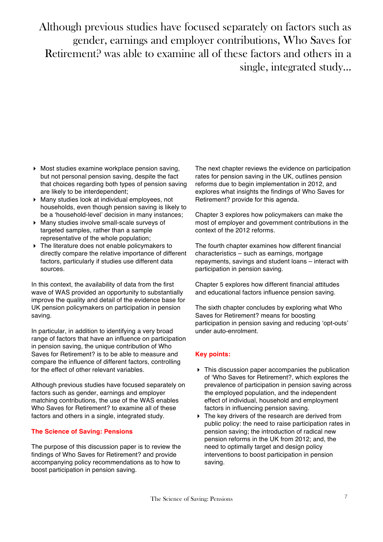Although previous studies have focused separately on factors such as gender, earnings and employer contributions, Who Saves for Retirement? was able to examine all of these factors and others in a single, integrated study...

- ! Most studies examine workplace pension saving, but not personal pension saving, despite the fact that choices regarding both types of pension saving are likely to be interdependent;
- ! Many studies look at individual employees, not households, even though pension saving is likely to be a ʻhousehold-level' decision in many instances;
- ! Many studies involve small-scale surveys of targeted samples, rather than a sample representative of the whole population;
- ▶ The literature does not enable policymakers to directly compare the relative importance of different factors, particularly if studies use different data sources.

In this context, the availability of data from the first wave of WAS provided an opportunity to substantially improve the quality and detail of the evidence base for UK pension policymakers on participation in pension saving.

In particular, in addition to identifying a very broad range of factors that have an influence on participation in pension saving, the unique contribution of Who Saves for Retirement? is to be able to measure and compare the influence of different factors, controlling for the effect of other relevant variables.

Although previous studies have focused separately on factors such as gender, earnings and employer matching contributions, the use of the WAS enables Who Saves for Retirement? to examine all of these factors and others in a single, integrated study.

#### **The Science of Saving: Pensions**

The purpose of this discussion paper is to review the findings of Who Saves for Retirement? and provide accompanying policy recommendations as to how to boost participation in pension saving.

The next chapter reviews the evidence on participation rates for pension saving in the UK, outlines pension reforms due to begin implementation in 2012, and explores what insights the findings of Who Saves for Retirement? provide for this agenda.

Chapter 3 explores how policymakers can make the most of employer and government contributions in the context of the 2012 reforms.

The fourth chapter examines how different financial characteristics – such as earnings, mortgage repayments, savings and student loans – interact with participation in pension saving.

Chapter 5 explores how different financial attitudes and educational factors influence pension saving.

The sixth chapter concludes by exploring what Who Saves for Retirement? means for boosting participation in pension saving and reducing ʻopt-outs' under auto-enrolment.

#### **Key points:**

- $\triangleright$  This discussion paper accompanies the publication of ʻWho Saves for Retirement?, which explores the prevalence of participation in pension saving across the employed population, and the independent effect of individual, household and employment factors in influencing pension saving.
- ▶ The key drivers of the research are derived from public policy: the need to raise participation rates in pension saving; the introduction of radical new pension reforms in the UK from 2012; and, the need to optimally target and design policy interventions to boost participation in pension saving.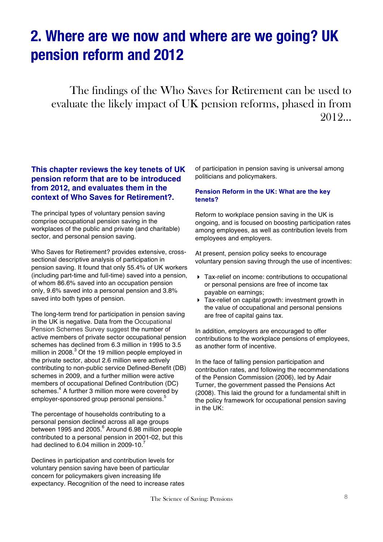## **2. Where are we now and where are we going? UK pension reform and 2012**

The findings of the Who Saves for Retirement can be used to evaluate the likely impact of UK pension reforms, phased in from 2012...

#### **This chapter reviews the key tenets of UK pension reform that are to be introduced from 2012, and evaluates them in the context of Who Saves for Retirement?.**

The principal types of voluntary pension saving comprise occupational pension saving in the workplaces of the public and private (and charitable) sector, and personal pension saving.

Who Saves for Retirement? provides extensive, crosssectional descriptive analysis of participation in pension saving. It found that only 55.4% of UK workers (including part-time and full-time) saved into a pension, of whom 86.6% saved into an occupation pension only, 9.6% saved into a personal pension and 3.8% saved into both types of pension.

The long-term trend for participation in pension saving in the UK is negative. Data from the Occupational Pension Schemes Survey suggest the number of active members of private sector occupational pension schemes has declined from 6.3 million in 1995 to 3.5 million in 2008.<sup>3</sup> Of the 19 million people employed in the private sector, about 2.6 million were actively contributing to non-public service Defined-Benefit (DB) schemes in 2009, and a further million were active members of occupational Defined Contribution (DC) schemes.<sup>4</sup> A further 3 million more were covered by employer-sponsored group personal pensions.<sup>5</sup>

The percentage of households contributing to a personal pension declined across all age groups between 1995 and 2005.<sup>6</sup> Around 6.98 million people contributed to a personal pension in 2001-02, but this had declined to 6.04 million in 2009-10.<sup>7</sup>

Declines in participation and contribution levels for voluntary pension saving have been of particular concern for policymakers given increasing life expectancy. Recognition of the need to increase rates of participation in pension saving is universal among politicians and policymakers.

#### **Pension Reform in the UK: What are the key tenets?**

Reform to workplace pension saving in the UK is ongoing, and is focused on boosting participation rates among employees, as well as contribution levels from employees and employers.

At present, pension policy seeks to encourage voluntary pension saving through the use of incentives:

- ! Tax-relief on income: contributions to occupational or personal pensions are free of income tax payable on earnings;
- ▶ Tax-relief on capital growth: investment growth in the value of occupational and personal pensions are free of capital gains tax.

In addition, employers are encouraged to offer contributions to the workplace pensions of employees, as another form of incentive.

In the face of falling pension participation and contribution rates, and following the recommendations of the Pension Commission (2006), led by Adair Turner, the government passed the Pensions Act (2008). This laid the ground for a fundamental shift in the policy framework for occupational pension saving in the UK: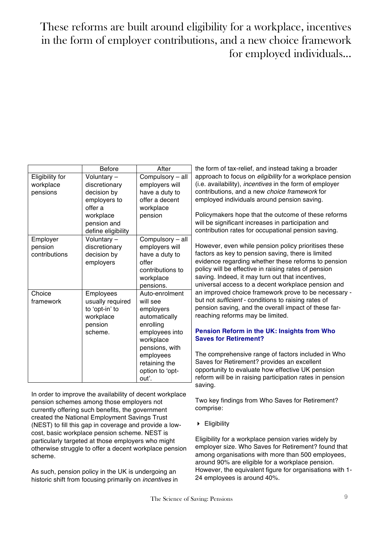These reforms are built around eligibility for a workplace, incentives in the form of employer contributions, and a new choice framework for employed individuals...

|                 | <b>Before</b>      | After            | the form of tax-relief, and instead taking a broader     |
|-----------------|--------------------|------------------|----------------------------------------------------------|
| Eligibility for | Voluntary -        | Compulsory - all | approach to focus on eligibility for a workplace pension |
| workplace       | discretionary      | employers will   | (i.e. availability), incentives in the form of employer  |
| pensions        | decision by        | have a duty to   | contributions, and a new choice framework for            |
|                 | employers to       | offer a decent   | employed individuals around pension saving.              |
|                 | offer a            | workplace        |                                                          |
|                 | workplace          | pension          | Policymakers hope that the outcome of these reforms      |
|                 | pension and        |                  | will be significant increases in participation and       |
|                 | define eligibility |                  | contribution rates for occupational pension saving.      |
| Employer        | Voluntary -        | Compulsory - all |                                                          |
| pension         | discretionary      | employers will   | However, even while pension policy prioritises these     |
| contributions   | decision by        | have a duty to   | factors as key to pension saving, there is limited       |
|                 | employers          | offer            | evidence regarding whether these reforms to pension      |
|                 |                    | contributions to | policy will be effective in raising rates of pension     |
|                 |                    | workplace        | saving. Indeed, it may turn out that incentives,         |
|                 |                    | pensions.        | universal access to a decent workplace pension and       |
| Choice          | Employees          | Auto-enrolment   | an improved choice framework prove to be necessary -     |
| framework       | usually required   | will see         | but not sufficient - conditions to raising rates of      |
|                 | to 'opt-in' to     | employers        | pension saving, and the overall impact of these far-     |
|                 | workplace          | automatically    | reaching reforms may be limited.                         |
|                 | pension            | enrolling        |                                                          |
|                 | scheme.            | employees into   | Pension Reform in the UK: Insights from Who              |
|                 |                    | workplace        | <b>Saves for Retirement?</b>                             |
|                 |                    | pensions, with   |                                                          |
|                 |                    | employees        | The comprehensive range of factors included in Who       |
|                 |                    | retaining the    | Saves for Retirement? provides an excellent              |
|                 |                    | option to 'opt-  | opportunity to evaluate how effective UK pension         |
|                 |                    | out'.            | reform will be in raising participation rates in pension |
|                 |                    |                  | saving.                                                  |

In order to improve the availability of decent workplace pension schemes among those employers not currently offering such benefits, the government created the National Employment Savings Trust (NEST) to fill this gap in coverage and provide a lowcost, basic workplace pension scheme. NEST is particularly targeted at those employers who might otherwise struggle to offer a decent workplace pension scheme.

As such, pension policy in the UK is undergoing an historic shift from focusing primarily on *incentives* in Two key findings from Who Saves for Retirement? comprise:

**Eligibility** 

Eligibility for a workplace pension varies widely by employer size. Who Saves for Retirement? found that among organisations with more than 500 employees, around 90% are eligible for a workplace pension. However, the equivalent figure for organisations with 1- 24 employees is around 40%.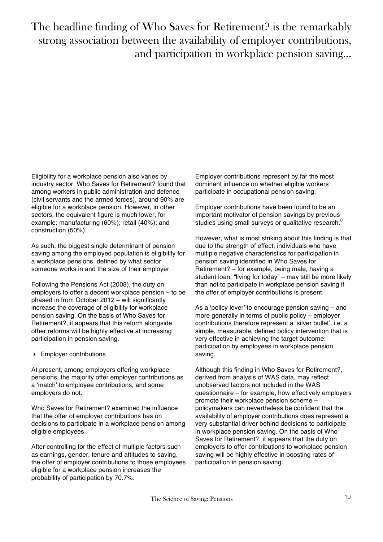The headline finding of Who Saves for Retirement? is the remarkably strong association between the availability of employer contributions, and participation in workplace pension saving...

Eligibility for a workplace pension also varies by industry sector. Who Saves for Retirement? found that among workers in public administration and defence (civil servants and the armed forces), around 90% are eligible for a workplace pension. However, in other sectors, the equivalent figure is much lower, for example: manufacturing (60%); retail (40%); and construction (50%).

As such, the biggest single determinant of pension saving among the employed population is eligibility for a workplace pensions, defined by what sector someone works in and the size of their employer.

Following the Pensions Act (2008), the duty on employers to offer a decent workplace pension – to be phased in from October 2012 – will significantly increase the coverage of eligibility for workplace pension saving. On the basis of Who Saves for Retirement?, it appears that this reform alongside other reforms will be highly effective at increasing participation in pension saving.

**Employer contributions** 

At present, among employers offering workplace pensions, the majority offer employer contributions as a ʻmatch' to employee contributions, and some employers do not.

Who Saves for Retirement? examined the influence that the offer of employer contributions has on decisions to participate in a workplace pension among eligible employees.

After controlling for the effect of multiple factors such as earnings, gender, tenure and attitudes to saving, the offer of employer contributions to those employees eligible for a workplace pension increases the probability of participation by 70.7%.

Employer contributions represent by far the most dominant influence on whether eligible workers participate in occupational pension saving.

Employer contributions have been found to be an important motivator of pension savings by previous studies using small surveys or qualitative research.<sup>8</sup>

However, what is most striking about this finding is that due to the strength of effect, individuals who have multiple negative characteristics for participation in pension saving identified in Who Saves for Retirement? – for example, being male, having a student loan, "living for today" – may still be more likely than not to participate in workplace pension saving if the offer of employer contributions is present.

As a ʻpolicy lever' to encourage pension saving – and more generally in terms of public policy – employer contributions therefore represent a ʻsilver bullet', i.e. a simple, measurable, defined policy intervention that is very effective in achieving the target outcome: participation by employees in workplace pension saving.

Although this finding in Who Saves for Retirement?, derived from analysis of WAS data, may reflect unobserved factors not included in the WAS questionnaire – for example, how effectively employers promote their workplace pension scheme – policymakers can nevertheless be confident that the availability of employer contributions does represent a very substantial driver behind decisions to participate in workplace pension saving. On the basis of Who Saves for Retirement?, it appears that the duty on employers to offer contributions to workplace pension saving will be highly effective in boosting rates of participation in pension saving.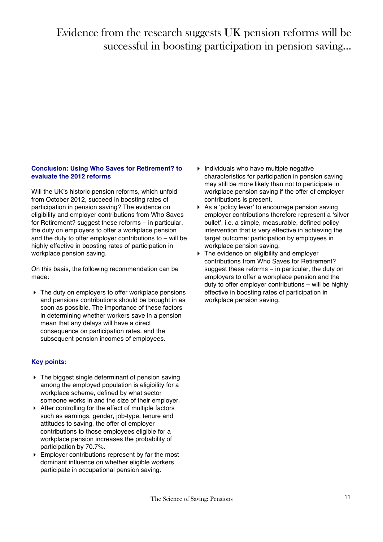### Evidence from the research suggests UK pension reforms will be successful in boosting participation in pension saving...

#### **Conclusion: Using Who Saves for Retirement? to evaluate the 2012 reforms**

Will the UK's historic pension reforms, which unfold from October 2012, succeed in boosting rates of participation in pension saving? The evidence on eligibility and employer contributions from Who Saves for Retirement? suggest these reforms – in particular, the duty on employers to offer a workplace pension and the duty to offer employer contributions to – will be highly effective in boosting rates of participation in workplace pension saving.

On this basis, the following recommendation can be made:

If The duty on employers to offer workplace pensions and pensions contributions should be brought in as soon as possible. The importance of these factors in determining whether workers save in a pension mean that any delays will have a direct consequence on participation rates, and the subsequent pension incomes of employees.

#### **Key points:**

- $\triangleright$  The biggest single determinant of pension saving among the employed population is eligibility for a workplace scheme, defined by what sector someone works in and the size of their employer.
- ! After controlling for the effect of multiple factors such as earnings, gender, job-type, tenure and attitudes to saving, the offer of employer contributions to those employees eligible for a workplace pension increases the probability of participation by 70.7%.
- $\triangleright$  Employer contributions represent by far the most dominant influence on whether eligible workers participate in occupational pension saving.
- $\blacktriangleright$  Individuals who have multiple negative characteristics for participation in pension saving may still be more likely than not to participate in workplace pension saving if the offer of employer contributions is present.
- ▶ As a 'policy lever' to encourage pension saving employer contributions therefore represent a ʻsilver bullet', i.e. a simple, measurable, defined policy intervention that is very effective in achieving the target outcome: participation by employees in workplace pension saving.
- $\triangleright$  The evidence on eligibility and employer contributions from Who Saves for Retirement? suggest these reforms – in particular, the duty on employers to offer a workplace pension and the duty to offer employer contributions – will be highly effective in boosting rates of participation in workplace pension saving.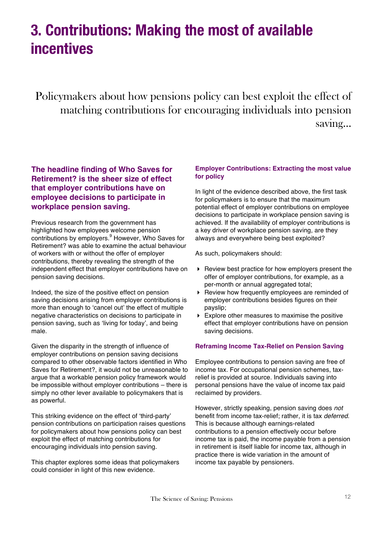## **3. Contributions: Making the most of available incentives**

Policymakers about how pensions policy can best exploit the effect of matching contributions for encouraging individuals into pension saving...

**The headline finding of Who Saves for Retirement? is the sheer size of effect that employer contributions have on employee decisions to participate in workplace pension saving.** 

Previous research from the government has highlighted how employees welcome pension contributions by employers.<sup>9</sup> However, Who Saves for Retirement? was able to examine the actual behaviour of workers with or without the offer of employer contributions, thereby revealing the strength of the independent effect that employer contributions have on pension saving decisions.

Indeed, the size of the positive effect on pension saving decisions arising from employer contributions is more than enough to ʻcancel out' the effect of multiple negative characteristics on decisions to participate in pension saving, such as ʻliving for today', and being male.

Given the disparity in the strength of influence of employer contributions on pension saving decisions compared to other observable factors identified in Who Saves for Retirement?, it would not be unreasonable to argue that a workable pension policy framework would be impossible without employer contributions – there is simply no other lever available to policymakers that is as powerful.

This striking evidence on the effect of ʻthird-party' pension contributions on participation raises questions for policymakers about how pensions policy can best exploit the effect of matching contributions for encouraging individuals into pension saving.

This chapter explores some ideas that policymakers could consider in light of this new evidence.

#### **Employer Contributions: Extracting the most value for policy**

In light of the evidence described above, the first task for policymakers is to ensure that the maximum potential effect of employer contributions on employee decisions to participate in workplace pension saving is achieved. If the availability of employer contributions is a key driver of workplace pension saving, are they always and everywhere being best exploited?

As such, policymakers should:

- ! Review best practice for how employers present the offer of employer contributions, for example, as a per-month or annual aggregated total;
- $\triangleright$  Review how frequently employees are reminded of employer contributions besides figures on their payslip;
- $\triangleright$  Explore other measures to maximise the positive effect that employer contributions have on pension saving decisions.

#### **Reframing Income Tax-Relief on Pension Saving**

Employee contributions to pension saving are free of income tax. For occupational pension schemes, taxrelief is provided at source. Individuals saving into personal pensions have the value of income tax paid reclaimed by providers.

However, strictly speaking, pension saving does *not* benefit from income tax-relief; rather, it is tax *deferred*. This is because although earnings-related contributions to a pension effectively occur before income tax is paid, the income payable from a pension in retirement is itself liable for income tax, although in practice there is wide variation in the amount of income tax payable by pensioners.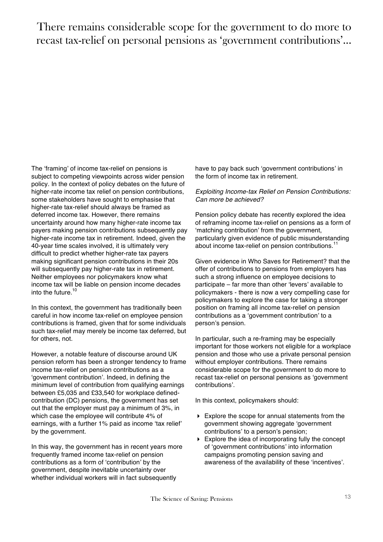### There remains considerable scope for the government to do more to recast tax-relief on personal pensions as 'government contributions'...

The ʻframing' of income tax-relief on pensions is subject to competing viewpoints across wider pension policy. In the context of policy debates on the future of higher-rate income tax relief on pension contributions, some stakeholders have sought to emphasise that higher-rate tax-relief should always be framed as deferred income tax. However, there remains uncertainty around how many higher-rate income tax payers making pension contributions subsequently pay higher-rate income tax in retirement. Indeed, given the 40-year time scales involved, it is ultimately very difficult to predict whether higher-rate tax payers making significant pension contributions in their 20s will subsequently pay higher-rate tax in retirement. Neither employees nor policymakers know what income tax will be liable on pension income decades into the future.<sup>10</sup>

In this context, the government has traditionally been careful in how income tax-relief on employee pension contributions is framed, given that for some individuals such tax-relief may merely be income tax deferred, but for others, not.

However, a notable feature of discourse around UK pension reform has been a stronger tendency to frame income tax-relief on pension contributions as a ʻgovernment contribution'. Indeed, in defining the minimum level of contribution from qualifying earnings between £5,035 and £33,540 for workplace definedcontribution (DC) pensions, the government has set out that the employer must pay a minimum of 3%, in which case the employee will contribute 4% of earnings, with a further 1% paid as income ʻtax relief' by the government.

In this way, the government has in recent years more frequently framed income tax-relief on pension contributions as a form of ʻcontribution' by the government, despite inevitable uncertainty over whether individual workers will in fact subsequently

have to pay back such ʻgovernment contributions' in the form of income tax in retirement.

#### *Exploiting Income-tax Relief on Pension Contributions: Can more be achieved?*

Pension policy debate has recently explored the idea of reframing income tax-relief on pensions as a form of ʻmatching contribution' from the government, particularly given evidence of public misunderstanding about income tax-relief on pension contributions.<sup>11</sup>

Given evidence in Who Saves for Retirement? that the offer of contributions to pensions from employers has such a strong influence on employee decisions to participate – far more than other ʻlevers' available to policymakers - there is now a very compelling case for policymakers to explore the case for taking a stronger position on framing all income tax-relief on pension contributions as a ʻgovernment contribution' to a person's pension.

In particular, such a re-framing may be especially important for those workers not eligible for a workplace pension and those who use a private personal pension without employer contributions. There remains considerable scope for the government to do more to recast tax-relief on personal pensions as ʻgovernment contributions'.

In this context, policymakers should:

- $\triangleright$  Explore the scope for annual statements from the government showing aggregate ʻgovernment contributions' to a person's pension;
- $\triangleright$  Explore the idea of incorporating fully the concept of ʻgovernment contributions' into information campaigns promoting pension saving and awareness of the availability of these ʻincentives'.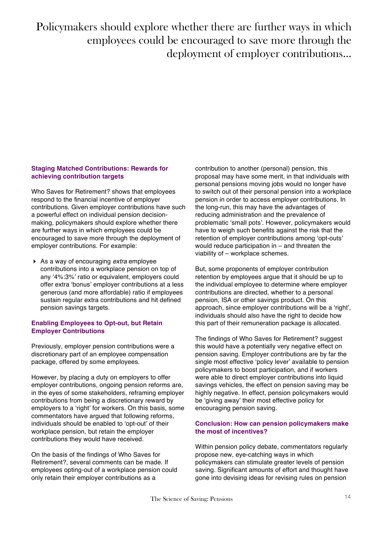Policymakers should explore whether there are further ways in which employees could be encouraged to save more through the deployment of employer contributions...

#### **Staging Matched Contributions: Rewards for achieving contribution targets**

Who Saves for Retirement? shows that employees respond to the financial incentive of employer contributions. Given employer contributions have such a powerful effect on individual pension decisionmaking, policymakers should explore whether there are further ways in which employees could be encouraged to save more through the deployment of employer contributions. For example:

! As a way of encouraging *extra* employee contributions into a workplace pension on top of any ʻ4%:3%' ratio or equivalent, employers could offer extra ʻbonus' employer contributions at a less generous (and more affordable) ratio if employees sustain regular extra contributions and hit defined pension savings targets.

#### **Enabling Employees to Opt-out, but Retain Employer Contributions**

Previously, employer pension contributions were a discretionary part of an employee compensation package, offered by some employees.

However, by placing a duty on employers to offer employer contributions, ongoing pension reforms are, in the eyes of some stakeholders, reframing employer contributions from being a discretionary reward by employers to a ʻright' for workers. On this basis, some commentators have argued that following reforms, individuals should be enabled to ʻopt-out' of their workplace pension, but retain the employer contributions they would have received.

On the basis of the findings of Who Saves for Retirement?, several comments can be made. If employees opting-out of a workplace pension could only retain their employer contributions as a

contribution to another (personal) pension, this proposal may have some merit, in that individuals with personal pensions moving jobs would no longer have to switch out of their personal pension into a workplace pension in order to access employer contributions. In the long-run, this may have the advantages of reducing administration and the prevalence of problematic ʻsmall pots'. However, policymakers would have to weigh such benefits against the risk that the retention of employer contributions among ʻopt-outs' would reduce participation in – and threaten the viability of – workplace schemes.

But, some proponents of employer contribution retention by employees argue that it should be up to the individual employee to determine where employer contributions are directed, whether to a personal pension, ISA or other savings product. On this approach, since employer contributions will be a ʻright', individuals should also have the right to decide how this part of their remuneration package is allocated.

The findings of Who Saves for Retirement? suggest this would have a potentially very negative effect on pension saving. Employer contributions are by far the single most effective ʻpolicy lever' available to pension policymakers to boost participation, and if workers were able to direct employer contributions into liquid savings vehicles, the effect on pension saving may be highly negative. In effect, pension policymakers would be ʻgiving away' their most effective policy for encouraging pension saving.

#### **Conclusion: How can pension policymakers make the most of incentives?**

Within pension policy debate, commentators regularly propose new, eye-catching ways in which policymakers can stimulate greater levels of pension saving. Significant amounts of effort and thought have gone into devising ideas for revising rules on pension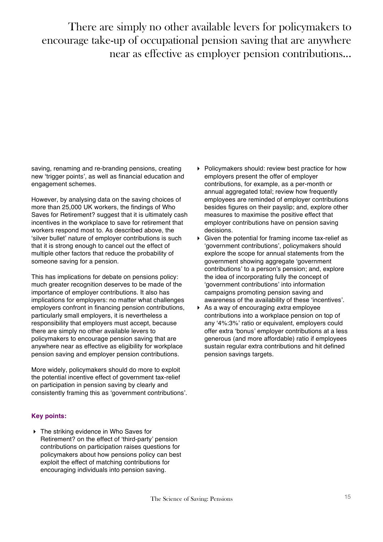There are simply no other available levers for policymakers to encourage take-up of occupational pension saving that are anywhere near as effective as employer pension contributions...

saving, renaming and re-branding pensions, creating new ʻtrigger points', as well as financial education and engagement schemes.

However, by analysing data on the saving choices of more than 25,000 UK workers, the findings of Who Saves for Retirement? suggest that it is ultimately cash incentives in the workplace to save for retirement that workers respond most to. As described above, the ʻsilver bullet' nature of employer contributions is such that it is strong enough to cancel out the effect of multiple other factors that reduce the probability of someone saving for a pension.

This has implications for debate on pensions policy: much greater recognition deserves to be made of the importance of employer contributions. It also has implications for employers: no matter what challenges employers confront in financing pension contributions, particularly small employers, it is nevertheless a responsibility that employers must accept, because there are simply no other available levers to policymakers to encourage pension saving that are anywhere near as effective as eligibility for workplace pension saving and employer pension contributions.

More widely, policymakers should do more to exploit the potential incentive effect of government tax-relief on participation in pension saving by clearly and consistently framing this as ʻgovernment contributions'.

#### **Key points:**

▶ The striking evidence in Who Saves for Retirement? on the effect of ʻthird-party' pension contributions on participation raises questions for policymakers about how pensions policy can best exploit the effect of matching contributions for encouraging individuals into pension saving.

- ! Policymakers should: review best practice for how employers present the offer of employer contributions, for example, as a per-month or annual aggregated total; review how frequently employees are reminded of employer contributions besides figures on their payslip; and, explore other measures to maximise the positive effect that employer contributions have on pension saving decisions.
- $\triangleright$  Given the potential for framing income tax-relief as ʻgovernment contributions', policymakers should explore the scope for annual statements from the government showing aggregate ʻgovernment contributions' to a person's pension; and, explore the idea of incorporating fully the concept of ʻgovernment contributions' into information campaigns promoting pension saving and awareness of the availability of these ʻincentives'.
- ! As a way of encouraging *extra* employee contributions into a workplace pension on top of any ʻ4%:3%' ratio or equivalent, employers could offer extra ʻbonus' employer contributions at a less generous (and more affordable) ratio if employees sustain regular extra contributions and hit defined pension savings targets.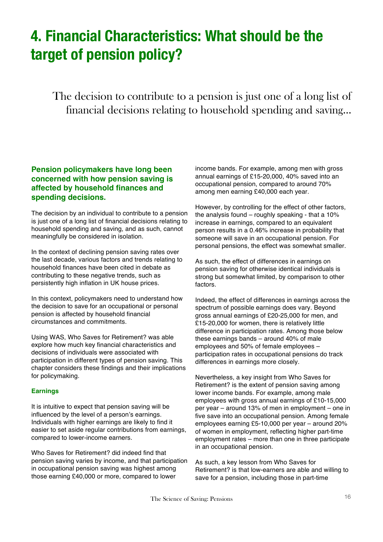## **4. Financial Characteristics: What should be the target of pension policy?**

The decision to contribute to a pension is just one of a long list of financial decisions relating to household spending and saving...

#### **Pension policymakers have long been concerned with how pension saving is affected by household finances and spending decisions.**

The decision by an individual to contribute to a pension is just one of a long list of financial decisions relating to household spending and saving, and as such, cannot meaningfully be considered in isolation.

In the context of declining pension saving rates over the last decade, various factors and trends relating to household finances have been cited in debate as contributing to these negative trends, such as persistently high inflation in UK house prices.

In this context, policymakers need to understand how the decision to save for an occupational or personal pension is affected by household financial circumstances and commitments.

Using WAS, Who Saves for Retirement? was able explore how much key financial characteristics and decisions of individuals were associated with participation in different types of pension saving. This chapter considers these findings and their implications for policymaking.

#### **Earnings**

It is intuitive to expect that pension saving will be influenced by the level of a person's earnings. Individuals with higher earnings are likely to find it easier to set aside regular contributions from earnings, compared to lower-income earners.

Who Saves for Retirement? did indeed find that pension saving varies by income, and that participation in occupational pension saving was highest among those earning £40,000 or more, compared to lower

income bands. For example, among men with gross annual earnings of £15-20,000, 40% saved into an occupational pension, compared to around 70% among men earning £40,000 each year.

However, by controlling for the effect of other factors, the analysis found – roughly speaking - that a 10% increase in earnings, compared to an equivalent person results in a 0.46% increase in probability that someone will save in an occupational pension. For personal pensions, the effect was somewhat smaller.

As such, the effect of differences in earnings on pension saving for otherwise identical individuals is strong but somewhat limited, by comparison to other factors.

Indeed, the effect of differences in earnings across the spectrum of possible earnings does vary. Beyond gross annual earnings of £20-25,000 for men, and £15-20,000 for women, there is relatively little difference in participation rates. Among those below these earnings bands – around 40% of male employees and 50% of female employees – participation rates in occupational pensions do track differences in earnings more closely.

Nevertheless, a key insight from Who Saves for Retirement? is the extent of pension saving among lower income bands. For example, among male employees with gross annual earnings of £10-15,000 per year – around 13% of men in employment – one in five save into an occupational pension. Among female employees earning £5-10,000 per year – around 20% of women in employment, reflecting higher part-time employment rates – more than one in three participate in an occupational pension.

As such, a key lesson from Who Saves for Retirement? is that low-earners are able and willing to save for a pension, including those in part-time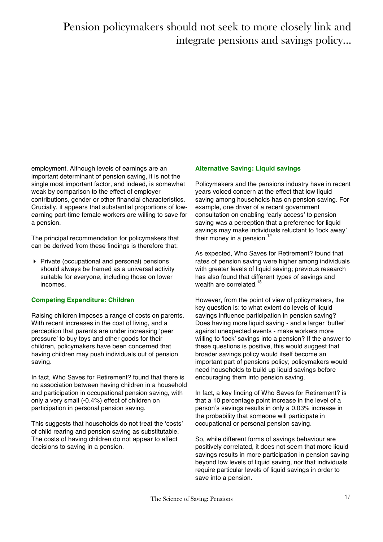### Pension policymakers should not seek to more closely link and integrate pensions and savings policy...

employment. Although levels of earnings are an important determinant of pension saving, it is not the single most important factor, and indeed, is somewhat weak by comparison to the effect of employer contributions, gender or other financial characteristics. Crucially, it appears that substantial proportions of lowearning part-time female workers are willing to save for a pension.

The principal recommendation for policymakers that can be derived from these findings is therefore that:

! Private (occupational and personal) pensions should always be framed as a universal activity suitable for everyone, including those on lower incomes.

#### **Competing Expenditure: Children**

Raising children imposes a range of costs on parents. With recent increases in the cost of living, and a perception that parents are under increasing ʻpeer pressure' to buy toys and other goods for their children, policymakers have been concerned that having children may push individuals out of pension saving.

In fact, Who Saves for Retirement? found that there is no association between having children in a household and participation in occupational pension saving, with only a very small (-0.4%) effect of children on participation in personal pension saving.

This suggests that households do not treat the ʻcosts' of child rearing and pension saving as substitutable. The costs of having children do not appear to affect decisions to saving in a pension.

#### **Alternative Saving: Liquid savings**

Policymakers and the pensions industry have in recent years voiced concern at the effect that low liquid saving among households has on pension saving. For example, one driver of a recent government consultation on enabling ʻearly access' to pension saving was a perception that a preference for liquid savings may make individuals reluctant to ʻlock away' their money in a pension.<sup>12</sup>

As expected, Who Saves for Retirement? found that rates of pension saving were higher among individuals with greater levels of liquid saving; previous research has also found that different types of savings and wealth are correlated.<sup>13</sup>

However, from the point of view of policymakers, the key question is: to what extent do levels of liquid savings influence participation in pension saving? Does having more liquid saving - and a larger 'buffer' against unexpected events - make workers more willing to ʻlock' savings into a pension? If the answer to these questions is positive, this would suggest that broader savings policy would itself become an important part of pensions policy; policymakers would need households to build up liquid savings before encouraging them into pension saving.

In fact, a key finding of Who Saves for Retirement? is that a 10 percentage point increase in the level of a person's savings results in only a 0.03% increase in the probability that someone will participate in occupational or personal pension saving.

So, while different forms of savings behaviour are positively correlated, it does not seem that more liquid savings results in more participation in pension saving beyond low levels of liquid saving, nor that individuals require particular levels of liquid savings in order to save into a pension.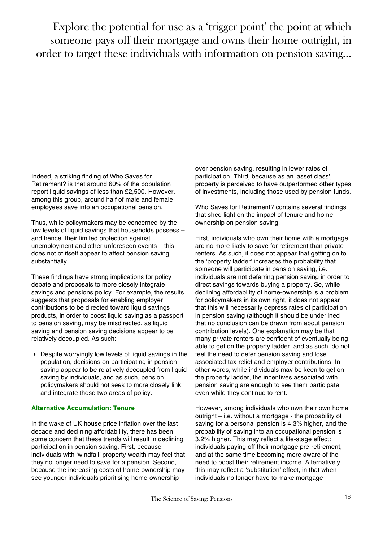Explore the potential for use as a 'trigger point' the point at which someone pays off their mortgage and owns their home outright, in order to target these individuals with information on pension saving...

Indeed, a striking finding of Who Saves for Retirement? is that around 60% of the population report liquid savings of less than £2,500. However, among this group, around half of male and female employees save into an occupational pension.

Thus, while policymakers may be concerned by the low levels of liquid savings that households possess – and hence, their limited protection against unemployment and other unforeseen events – this does not of itself appear to affect pension saving substantially.

These findings have strong implications for policy debate and proposals to more closely integrate savings and pensions policy. For example, the results suggests that proposals for enabling employer contributions to be directed toward liquid savings products, in order to boost liquid saving as a passport to pension saving, may be misdirected, as liquid saving and pension saving decisions appear to be relatively decoupled. As such:

! Despite worryingly low levels of liquid savings in the population, decisions on participating in pension saving appear to be relatively decoupled from liquid saving by individuals, and as such, pension policymakers should not seek to more closely link and integrate these two areas of policy.

#### **Alternative Accumulation: Tenure**

In the wake of UK house price inflation over the last decade and declining affordability, there has been some concern that these trends will result in declining participation in pension saving. First, because individuals with ʻwindfall' property wealth may feel that they no longer need to save for a pension. Second, because the increasing costs of home-ownership may see younger individuals prioritising home-ownership

over pension saving, resulting in lower rates of participation. Third, because as an ʻasset class', property is perceived to have outperformed other types of investments, including those used by pension funds.

Who Saves for Retirement? contains several findings that shed light on the impact of tenure and homeownership on pension saving.

First, individuals who own their home with a mortgage are no more likely to save for retirement than private renters. As such, it does not appear that getting on to the ʻproperty ladder' increases the probability that someone will participate in pension saving, i.e. individuals are not deferring pension saving in order to direct savings towards buying a property. So, while declining affordability of home-ownership is a problem for policymakers in its own right, it does not appear that this will necessarily depress rates of participation in pension saving (although it should be underlined that no conclusion can be drawn from about pension contribution levels). One explanation may be that many private renters are confident of eventually being able to get on the property ladder, and as such, do not feel the need to defer pension saving and lose associated tax-relief and employer contributions. In other words, while individuals may be keen to get on the property ladder, the incentives associated with pension saving are enough to see them participate even while they continue to rent.

However, among individuals who own their own home outright – i.e. without a mortgage - the probability of saving for a personal pension is 4.3% higher, and the probability of saving into an occupational pension is 3.2% higher. This may reflect a life-stage effect: individuals paying off their mortgage pre-retirement, and at the same time becoming more aware of the need to boost their retirement income. Alternatively, this may reflect a ʻsubstitution' effect, in that when individuals no longer have to make mortgage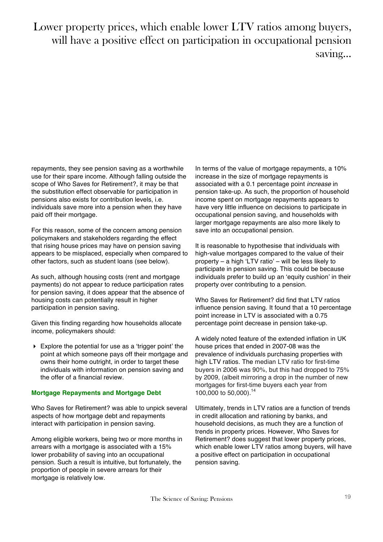Lower property prices, which enable lower LTV ratios among buyers, will have a positive effect on participation in occupational pension saving...

repayments, they see pension saving as a worthwhile use for their spare income. Although falling outside the scope of Who Saves for Retirement?, it may be that the substitution effect observable for participation in pensions also exists for contribution levels, i.e. individuals save more into a pension when they have paid off their mortgage.

For this reason, some of the concern among pension policymakers and stakeholders regarding the effect that rising house prices may have on pension saving appears to be misplaced, especially when compared to other factors, such as student loans (see below).

As such, although housing costs (rent and mortgage payments) do not appear to reduce participation rates for pension saving, it does appear that the absence of housing costs can potentially result in higher participation in pension saving.

Given this finding regarding how households allocate income, policymakers should:

 $\blacktriangleright$  Explore the potential for use as a 'trigger point' the point at which someone pays off their mortgage and owns their home outright, in order to target these individuals with information on pension saving and the offer of a financial review.

#### **Mortgage Repayments and Mortgage Debt**

Who Saves for Retirement? was able to unpick several aspects of how mortgage debt and repayments interact with participation in pension saving.

Among eligible workers, being two or more months in arrears with a mortgage is associated with a 15% lower probability of saving into an occupational pension. Such a result is intuitive, but fortunately, the proportion of people in severe arrears for their mortgage is relatively low.

In terms of the value of mortgage repayments, a 10% increase in the size of mortgage repayments is associated with a 0.1 percentage point *increase* in pension take-up. As such, the proportion of household income spent on mortgage repayments appears to have very little influence on decisions to participate in occupational pension saving, and households with larger mortgage repayments are also more likely to save into an occupational pension.

It is reasonable to hypothesise that individuals with high-value mortgages compared to the value of their property – a high ʻLTV ratio' – will be less likely to participate in pension saving. This could be because individuals prefer to build up an ʻequity cushion' in their property over contributing to a pension.

Who Saves for Retirement? did find that LTV ratios influence pension saving. It found that a 10 percentage point increase in LTV is associated with a 0.75 percentage point decrease in pension take-up.

A widely noted feature of the extended inflation in UK house prices that ended in 2007-08 was the prevalence of individuals purchasing properties with high LTV ratios. The median LTV ratio for first-time buyers in 2006 was 90%, but this had dropped to 75% by 2009, (albeit mirroring a drop in the number of new mortgages for first-time buyers each year from 100,000 to 50,000).14

Ultimately, trends in LTV ratios are a function of trends in credit allocation and rationing by banks, and household decisions, as much they are a function of trends in property prices. However, Who Saves for Retirement? does suggest that lower property prices, which enable lower LTV ratios among buyers, will have a positive effect on participation in occupational pension saving.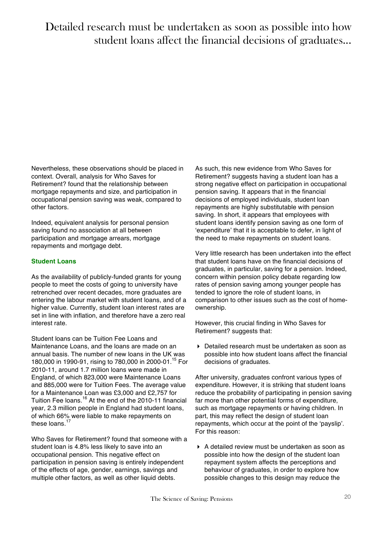### Detailed research must be undertaken as soon as possible into how student loans affect the financial decisions of graduates...

Nevertheless, these observations should be placed in context. Overall, analysis for Who Saves for Retirement? found that the relationship between mortgage repayments and size, and participation in occupational pension saving was weak, compared to other factors.

Indeed, equivalent analysis for personal pension saving found no association at all between participation and mortgage arrears, mortgage repayments and mortgage debt.

#### **Student Loans**

As the availability of publicly-funded grants for young people to meet the costs of going to university have retrenched over recent decades, more graduates are entering the labour market with student loans, and of a higher value. Currently, student loan interest rates are set in line with inflation, and therefore have a zero real interest rate.

Student loans can be Tuition Fee Loans and Maintenance Loans, and the loans are made on an annual basis. The number of new loans in the UK was 180,000 in 1990-91, rising to 780,000 in 2000-01.<sup>15</sup> For 2010-11, around 1.7 million loans were made in England, of which 823,000 were Maintenance Loans and 885,000 were for Tuition Fees. The average value for a Maintenance Loan was £3,000 and £2,757 for Tuition Fee loans.<sup>16</sup> At the end of the 2010-11 financial year, 2.3 million people in England had student loans, of which 66% were liable to make repayments on these loans.<sup>17</sup>

Who Saves for Retirement? found that someone with a student loan is 4.8% less likely to save into an occupational pension. This negative effect on participation in pension saving is entirely independent of the effects of age, gender, earnings, savings and multiple other factors, as well as other liquid debts.

As such, this new evidence from Who Saves for Retirement? suggests having a student loan has a strong negative effect on participation in occupational pension saving. It appears that in the financial decisions of employed individuals, student loan repayments are highly substitutable with pension saving. In short, it appears that employees with student loans identify pension saving as one form of ʻexpenditure' that it is acceptable to defer, in light of the need to make repayments on student loans.

Very little research has been undertaken into the effect that student loans have on the financial decisions of graduates, in particular, saving for a pension. Indeed, concern within pension policy debate regarding low rates of pension saving among younger people has tended to ignore the role of student loans, in comparison to other issues such as the cost of homeownership.

However, this crucial finding in Who Saves for Retirement? suggests that:

! Detailed research must be undertaken as soon as possible into how student loans affect the financial decisions of graduates.

After university, graduates confront various types of expenditure. However, it is striking that student loans reduce the probability of participating in pension saving far more than other potential forms of expenditure, such as mortgage repayments or having children. In part, this may reflect the design of student loan repayments, which occur at the point of the ʻpayslip'. For this reason:

! A detailed review must be undertaken as soon as possible into how the design of the student loan repayment system affects the perceptions and behaviour of graduates, in order to explore how possible changes to this design may reduce the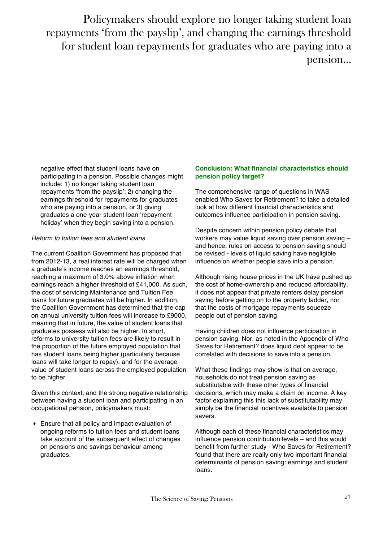Policymakers should explore no longer taking student loan repayments 'from the payslip', and changing the earnings threshold for student loan repayments for graduates who are paying into a pension...

negative effect that student loans have on participating in a pension. Possible changes might include: 1) no longer taking student loan repayments ʻfrom the payslip'; 2) changing the earnings threshold for repayments for graduates who are paying into a pension, or 3) giving graduates a one-year student loan ʻrepayment holiday' when they begin saving into a pension.

#### *Reform to tuition fees and student loans*

The current Coalition Government has proposed that from 2012-13, a real interest rate will be charged when a graduate's income reaches an earnings threshold, reaching a maximum of 3.0% above inflation when earnings reach a higher threshold of £41,000. As such, the cost of servicing Maintenance and Tuition Fee loans for future graduates will be higher. In addition, the Coalition Government has determined that the cap on annual university tuition fees will increase to £9000, meaning that in future, the value of student loans that graduates possess will also be higher. In short, reforms to university tuition fees are likely to result in the proportion of the future employed population that has student loans being higher (particularly because loans will take longer to repay), and for the average value of student loans across the employed population to be higher.

Given this context, and the strong negative relationship between having a student loan and participating in an occupational pension, policymakers must:

! Ensure that all policy and impact evaluation of ongoing reforms to tuition fees and student loans take account of the subsequent effect of changes on pensions and savings behaviour among graduates.

#### **Conclusion: What financial characteristics should pension policy target?**

The comprehensive range of questions in WAS enabled Who Saves for Retirement? to take a detailed look at how different financial characteristics and outcomes influence participation in pension saving.

Despite concern within pension policy debate that workers may value liquid saving over pension saving – and hence, rules on access to pension saving should be revised - levels of liquid saving have negligible influence on whether people save into a pension.

Although rising house prices in the UK have pushed up the cost of home-ownership and reduced affordability, it does not appear that private renters delay pension saving before getting on to the property ladder, nor that the costs of mortgage repayments squeeze people out of pension saving.

Having children does not influence participation in pension saving. Nor, as noted in the Appendix of Who Saves for Retirement? does liquid debt appear to be correlated with decisions to save into a pension.

What these findings may show is that on average, households do not treat pension saving as substitutable with these other types of financial decisions, which may make a claim on income. A key factor explaining this this lack of substitutability may simply be the financial incentives available to pension savers.

Although each of these financial characteristics may influence pension contribution levels – and this would benefit from further study - Who Saves for Retirement? found that there are really only two important financial determinants of pension saving: earnings and student loans.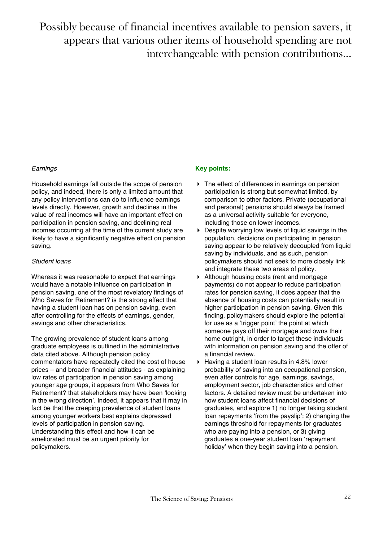Possibly because of financial incentives available to pension savers, it appears that various other items of household spending are not interchangeable with pension contributions...

#### *Earnings*

Household earnings fall outside the scope of pension policy, and indeed, there is only a limited amount that any policy interventions can do to influence earnings levels directly. However, growth and declines in the value of real incomes will have an important effect on participation in pension saving, and declining real incomes occurring at the time of the current study are likely to have a significantly negative effect on pension saving.

#### *Student loans*

Whereas it was reasonable to expect that earnings would have a notable influence on participation in pension saving, one of the most revelatory findings of Who Saves for Retirement? is the strong effect that having a student loan has on pension saving, even after controlling for the effects of earnings, gender, savings and other characteristics.

The growing prevalence of student loans among graduate employees is outlined in the administrative data cited above. Although pension policy commentators have repeatedly cited the cost of house prices – and broader financial attitudes - as explaining low rates of participation in pension saving among younger age groups, it appears from Who Saves for Retirement? that stakeholders may have been ʻlooking in the wrong direction'. Indeed, it appears that it may in fact be that the creeping prevalence of student loans among younger workers best explains depressed levels of participation in pension saving. Understanding this effect and how it can be ameliorated must be an urgent priority for policymakers.

#### **Key points:**

- $\triangleright$  The effect of differences in earnings on pension participation is strong but somewhat limited, by comparison to other factors. Private (occupational and personal) pensions should always be framed as a universal activity suitable for everyone, including those on lower incomes.
- $\triangleright$  Despite worrying low levels of liquid savings in the population, decisions on participating in pension saving appear to be relatively decoupled from liquid saving by individuals, and as such, pension policymakers should not seek to more closely link and integrate these two areas of policy.
- ! Although housing costs (rent and mortgage payments) do not appear to reduce participation rates for pension saving, it does appear that the absence of housing costs can potentially result in higher participation in pension saving. Given this finding, policymakers should explore the potential for use as a 'trigger point' the point at which someone pays off their mortgage and owns their home outright, in order to target these individuals with information on pension saving and the offer of a financial review.
- $\blacktriangleright$  Having a student loan results in 4.8% lower probability of saving into an occupational pension, even after controls for age, earnings, savings, employment sector, job characteristics and other factors. A detailed review must be undertaken into how student loans affect financial decisions of graduates, and explore 1) no longer taking student loan repayments ʻfrom the payslip'; 2) changing the earnings threshold for repayments for graduates who are paying into a pension, or 3) giving graduates a one-year student loan ʻrepayment holiday' when they begin saving into a pension.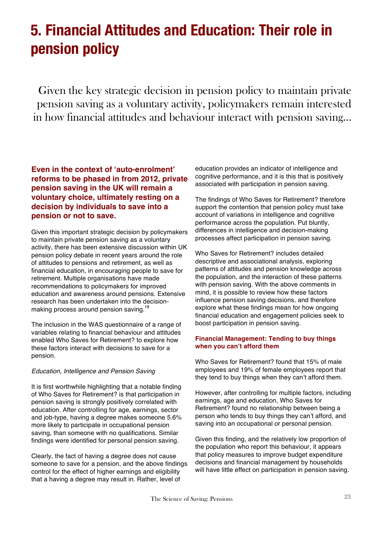## **5. Financial Attitudes and Education: Their role in pension policy**

Given the key strategic decision in pension policy to maintain private pension saving as a voluntary activity, policymakers remain interested in how financial attitudes and behaviour interact with pension saving...

**Even in the context of ʻauto-enrolment' reforms to be phased in from 2012, private pension saving in the UK will remain a voluntary choice, ultimately resting on a decision by individuals to save into a pension or not to save.** 

Given this important strategic decision by policymakers to maintain private pension saving as a voluntary activity, there has been extensive discussion within UK pension policy debate in recent years around the role of attitudes to pensions and retirement, as well as financial education, in encouraging people to save for retirement. Multiple organisations have made recommendations to policymakers for improved education and awareness around pensions. Extensive research has been undertaken into the decisionmaking process around pension saving.<sup>18</sup>

The inclusion in the WAS questionnaire of a range of variables relating to financial behaviour and attitudes enabled Who Saves for Retirement? to explore how these factors interact with decisions to save for a pension.

#### *Education, Intelligence and Pension Saving*

It is first worthwhile highlighting that a notable finding of Who Saves for Retirement? is that participation in pension saving is strongly positively correlated with education. After controlling for age, earnings, sector and job-type, having a degree makes someone 5.6% more likely to participate in occupational pension saving, than someone with no qualifications. Similar findings were identified for personal pension saving.

Clearly, the fact of having a degree does not cause someone to save for a pension, and the above findings control for the effect of higher earnings and eligibility that a having a degree may result in. Rather, level of

education provides an indicator of intelligence and cognitive performance, and it is this that is positively associated with participation in pension saving.

The findings of Who Saves for Retirement? therefore support the contention that pension policy must take account of variations in intelligence and cognitive performance across the population. Put bluntly, differences in intelligence and decision-making processes affect participation in pension saving.

Who Saves for Retirement? includes detailed descriptive and associational analysis, exploring patterns of attitudes and pension knowledge across the population, and the interaction of these patterns with pension saving. With the above comments in mind, it is possible to review how these factors influence pension saving decisions, and therefore explore what these findings mean for how ongoing financial education and engagement policies seek to boost participation in pension saving.

#### **Financial Management: Tending to buy things when you can't afford them**

Who Saves for Retirement? found that 15% of male employees and 19% of female employees report that they tend to buy things when they can't afford them.

However, after controlling for multiple factors, including earnings, age and education, Who Saves for Retirement? found no relationship between being a person who tends to buy things they can't afford, and saving into an occupational or personal pension.

Given this finding, and the relatively low proportion of the population who report this behaviour, it appears that policy measures to improve budget expenditure decisions and financial management by households will have little effect on participation in pension saving.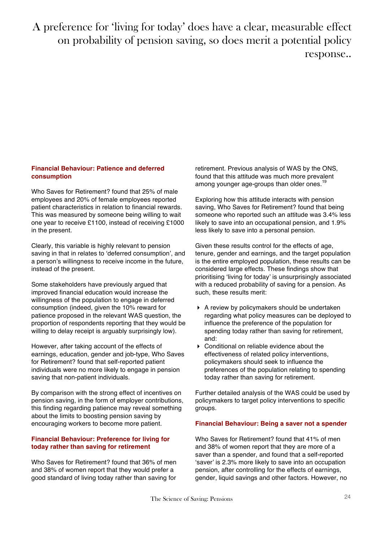A preference for 'living for today' does have a clear, measurable effect on probability of pension saving, so does merit a potential policy response..

#### **Financial Behaviour: Patience and deferred consumption**

Who Saves for Retirement? found that 25% of male employees and 20% of female employees reported patient characteristics in relation to financial rewards. This was measured by someone being willing to wait one year to receive £1100, instead of receiving £1000 in the present.

Clearly, this variable is highly relevant to pension saving in that in relates to ʻdeferred consumption', and a person's willingness to receive income in the future, instead of the present.

Some stakeholders have previously argued that improved financial education would increase the willingness of the population to engage in deferred consumption (indeed, given the 10% reward for patience proposed in the relevant WAS question, the proportion of respondents reporting that they would be willing to delay receipt is arguably surprisingly low).

However, after taking account of the effects of earnings, education, gender and job-type, Who Saves for Retirement? found that self-reported patient individuals were no more likely to engage in pension saving that non-patient individuals.

By comparison with the strong effect of incentives on pension saving, in the form of employer contributions, this finding regarding patience may reveal something about the limits to boosting pension saving by encouraging workers to become more patient.

#### **Financial Behaviour: Preference for living for today rather than saving for retirement**

Who Saves for Retirement? found that 36% of men and 38% of women report that they would prefer a good standard of living today rather than saving for

retirement. Previous analysis of WAS by the ONS, found that this attitude was much more prevalent among younger age-groups than older ones.<sup>19</sup>

Exploring how this attitude interacts with pension saving, Who Saves for Retirement? found that being someone who reported such an attitude was 3.4% less likely to save into an occupational pension, and 1.9% less likely to save into a personal pension.

Given these results control for the effects of age, tenure, gender and earnings, and the target population is the entire employed population, these results can be considered large effects. These findings show that prioritising ʻliving for today' is unsurprisingly associated with a reduced probability of saving for a pension. As such, these results merit:

- $\triangleright$  A review by policymakers should be undertaken regarding what policy measures can be deployed to influence the preference of the population for spending today rather than saving for retirement, and:
- ▶ Conditional on reliable evidence about the effectiveness of related policy interventions, policymakers should seek to influence the preferences of the population relating to spending today rather than saving for retirement.

Further detailed analysis of the WAS could be used by policymakers to target policy interventions to specific groups.

#### **Financial Behaviour: Being a saver not a spender**

Who Saves for Retirement? found that 41% of men and 38% of women report that they are more of a saver than a spender, and found that a self-reported ʻsaver' is 2.3% more likely to save into an occupation pension, after controlling for the effects of earnings, gender, liquid savings and other factors. However, no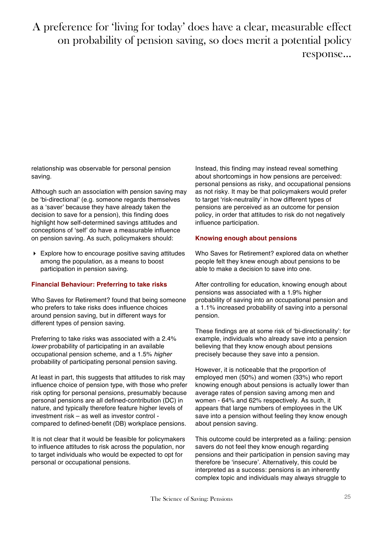A preference for 'living for today' does have a clear, measurable effect on probability of pension saving, so does merit a potential policy response...

relationship was observable for personal pension saving.

Although such an association with pension saving may be ʻbi-directional' (e.g. someone regards themselves as a ʻsaver' because they have already taken the decision to save for a pension), this finding does highlight how self-determined savings attitudes and conceptions of ʻself' do have a measurable influence on pension saving. As such, policymakers should:

**Explore how to encourage positive saving attitudes** among the population, as a means to boost participation in pension saving.

#### **Financial Behaviour: Preferring to take risks**

Who Saves for Retirement? found that being someone who prefers to take risks does influence choices around pension saving, but in different ways for different types of pension saving.

Preferring to take risks was associated with a 2.4% *lower* probability of participating in an available occupational pension scheme, and a 1.5% *higher* probability of participating personal pension saving.

At least in part, this suggests that attitudes to risk may influence choice of pension type, with those who prefer risk opting for personal pensions, presumably because personal pensions are all defined-contribution (DC) in nature, and typically therefore feature higher levels of investment risk – as well as investor control compared to defined-benefit (DB) workplace pensions.

It is not clear that it would be feasible for policymakers to influence attitudes to risk across the population, nor to target individuals who would be expected to opt for personal or occupational pensions.

Instead, this finding may instead reveal something about shortcomings in how pensions are perceived: personal pensions as risky, and occupational pensions as not risky. It may be that policymakers would prefer to target ʻrisk-neutrality' in how different types of pensions are perceived as an outcome for pension policy, in order that attitudes to risk do not negatively influence participation.

#### **Knowing enough about pensions**

Who Saves for Retirement? explored data on whether people felt they knew enough about pensions to be able to make a decision to save into one.

After controlling for education, knowing enough about pensions was associated with a 1.9% higher probability of saving into an occupational pension and a 1.1% increased probability of saving into a personal pension.

These findings are at some risk of ʻbi-directionality': for example, individuals who already save into a pension believing that they know enough about pensions precisely because they save into a pension.

However, it is noticeable that the proportion of employed men (50%) and women (33%) who report knowing enough about pensions is actually lower than average rates of pension saving among men and women - 64% and 62% respectively. As such, it appears that large numbers of employees in the UK save into a pension without feeling they know enough about pension saving.

This outcome could be interpreted as a failing: pension savers do not feel they know enough regarding pensions and their participation in pension saving may therefore be ʻinsecure'. Alternatively, this could be interpreted as a success: pensions is an inherently complex topic and individuals may always struggle to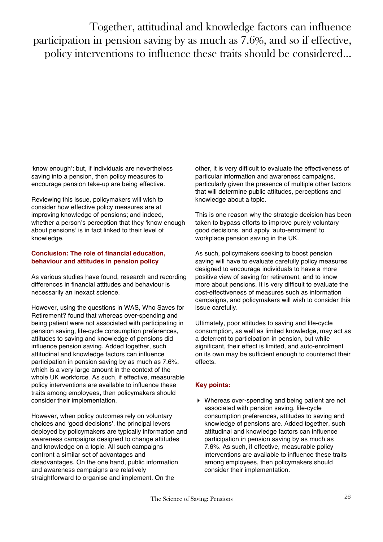Together, attitudinal and knowledge factors can influence participation in pension saving by as much as 7.6%, and so if effective, policy interventions to influence these traits should be considered...

ʻknow enough'; but, if individuals are nevertheless saving into a pension, then policy measures to encourage pension take-up are being effective.

Reviewing this issue, policymakers will wish to consider how effective policy measures are at improving knowledge of pensions; and indeed, whether a person's perception that they ʻknow enough about pensions' is in fact linked to their level of knowledge.

#### **Conclusion: The role of financial education, behaviour and attitudes in pension policy**

As various studies have found, research and recording differences in financial attitudes and behaviour is necessarily an inexact science.

However, using the questions in WAS, Who Saves for Retirement? found that whereas over-spending and being patient were not associated with participating in pension saving, life-cycle consumption preferences, attitudes to saving and knowledge of pensions did influence pension saving. Added together, such attitudinal and knowledge factors can influence participation in pension saving by as much as 7.6%, which is a very large amount in the context of the whole UK workforce. As such, if effective, measurable policy interventions are available to influence these traits among employees, then policymakers should consider their implementation.

However, when policy outcomes rely on voluntary choices and ʻgood decisions', the principal levers deployed by policymakers are typically information and awareness campaigns designed to change attitudes and knowledge on a topic. All such campaigns confront a similar set of advantages and disadvantages. On the one hand, public information and awareness campaigns are relatively straightforward to organise and implement. On the

other, it is very difficult to evaluate the effectiveness of particular information and awareness campaigns, particularly given the presence of multiple other factors that will determine public attitudes, perceptions and knowledge about a topic.

This is one reason why the strategic decision has been taken to bypass efforts to improve purely voluntary good decisions, and apply ʻauto-enrolment' to workplace pension saving in the UK.

As such, policymakers seeking to boost pension saving will have to evaluate carefully policy measures designed to encourage individuals to have a more positive view of saving for retirement, and to know more about pensions. It is very difficult to evaluate the cost-effectiveness of measures such as information campaigns, and policymakers will wish to consider this issue carefully.

Ultimately, poor attitudes to saving and life-cycle consumption, as well as limited knowledge, may act as a deterrent to participation in pension, but while significant, their effect is limited, and auto-enrolment on its own may be sufficient enough to counteract their effects.

#### **Key points:**

! Whereas over-spending and being patient are not associated with pension saving, life-cycle consumption preferences, attitudes to saving and knowledge of pensions are. Added together, such attitudinal and knowledge factors can influence participation in pension saving by as much as 7.6%. As such, if effective, measurable policy interventions are available to influence these traits among employees, then policymakers should consider their implementation.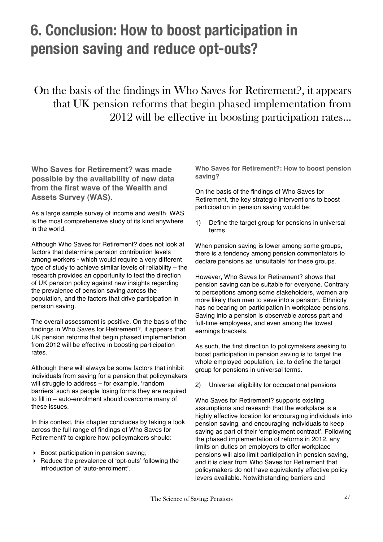## **6. Conclusion: How to boost participation in pension saving and reduce opt-outs?**

On the basis of the findings in Who Saves for Retirement?, it appears that UK pension reforms that begin phased implementation from 2012 will be effective in boosting participation rates...

**Who Saves for Retirement? was made possible by the availability of new data from the first wave of the Wealth and Assets Survey (WAS).** 

As a large sample survey of income and wealth, WAS is the most comprehensive study of its kind anywhere in the world.

Although Who Saves for Retirement? does not look at factors that determine pension contribution levels among workers - which would require a very different type of study to achieve similar levels of reliability – the research provides an opportunity to test the direction of UK pension policy against new insights regarding the prevalence of pension saving across the population, and the factors that drive participation in pension saving.

The overall assessment is positive. On the basis of the findings in Who Saves for Retirement?, it appears that UK pension reforms that begin phased implementation from 2012 will be effective in boosting participation rates.

Although there will always be some factors that inhibit individuals from saving for a pension that policymakers will struggle to address – for example, ʻrandom barriers' such as people losing forms they are required to fill in – auto-enrolment should overcome many of these issues.

In this context, this chapter concludes by taking a look across the full range of findings of Who Saves for Retirement? to explore how policymakers should:

- ! Boost participation in pension saving;
- ! Reduce the prevalence of ʻopt-outs' following the introduction of ʻauto-enrolment'.

**Who Saves for Retirement?: How to boost pension saving?**

On the basis of the findings of Who Saves for Retirement, the key strategic interventions to boost participation in pension saving would be:

1) Define the target group for pensions in universal terms

When pension saving is lower among some groups, there is a tendency among pension commentators to declare pensions as ʻunsuitable' for these groups.

However, Who Saves for Retirement? shows that pension saving can be suitable for everyone. Contrary to perceptions among some stakeholders, women are more likely than men to save into a pension. Ethnicity has no bearing on participation in workplace pensions. Saving into a pension is observable across part and full-time employees, and even among the lowest earnings brackets.

As such, the first direction to policymakers seeking to boost participation in pension saving is to target the whole employed population, i.e. to define the target group for pensions in universal terms.

2) Universal eligibility for occupational pensions

Who Saves for Retirement? supports existing assumptions and research that the workplace is a highly effective location for encouraging individuals into pension saving, and encouraging individuals to keep saving as part of their ʻemployment contract'. Following the phased implementation of reforms in 2012, any limits on duties on employers to offer workplace pensions will also limit participation in pension saving, and it is clear from Who Saves for Retirement that policymakers do not have equivalently effective policy levers available. Notwithstanding barriers and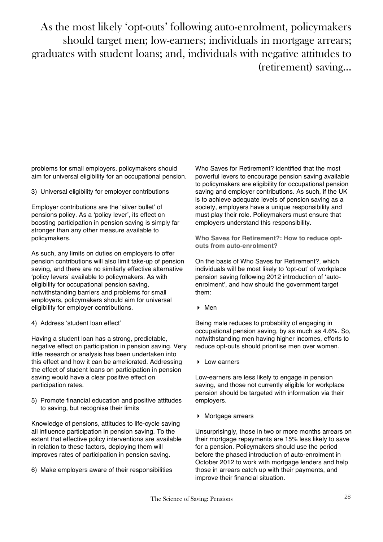As the most likely 'opt-outs' following auto-enrolment, policymakers should target men; low-earners; individuals in mortgage arrears; graduates with student loans; and, individuals with negative attitudes to (retirement) saving...

problems for small employers, policymakers should aim for universal eligibility for an occupational pension.

3) Universal eligibility for employer contributions

Employer contributions are the ʻsilver bullet' of pensions policy. As a ʻpolicy lever', its effect on boosting participation in pension saving is simply far stronger than any other measure available to policymakers.

As such, any limits on duties on employers to offer pension contributions will also limit take-up of pension saving, and there are no similarly effective alternative ʻpolicy levers' available to policymakers. As with eligibility for occupational pension saving, notwithstanding barriers and problems for small employers, policymakers should aim for universal eligibility for employer contributions.

4) Address ʻstudent loan effect'

Having a student loan has a strong, predictable, negative effect on participation in pension saving. Very little research or analysis has been undertaken into this effect and how it can be ameliorated. Addressing the effect of student loans on participation in pension saving would have a clear positive effect on participation rates.

5) Promote financial education and positive attitudes to saving, but recognise their limits

Knowledge of pensions, attitudes to life-cycle saving all influence participation in pension saving. To the extent that effective policy interventions are available in relation to these factors, deploying them will improves rates of participation in pension saving.

6) Make employers aware of their responsibilities

Who Saves for Retirement? identified that the most powerful levers to encourage pension saving available to policymakers are eligibility for occupational pension saving and employer contributions. As such, if the UK is to achieve adequate levels of pension saving as a society, employers have a unique responsibility and must play their role. Policymakers must ensure that employers understand this responsibility.

**Who Saves for Retirement?: How to reduce optouts from auto-enrolment?**

On the basis of Who Saves for Retirement?, which individuals will be most likely to ʻopt-out' of workplace pension saving following 2012 introduction of ʻautoenrolment', and how should the government target them:

! Men

Being male reduces to probability of engaging in occupational pension saving, by as much as 4.6%. So, notwithstanding men having higher incomes, efforts to reduce opt-outs should prioritise men over women.

**Low earners** 

Low-earners are less likely to engage in pension saving, and those not currently eligible for workplace pension should be targeted with information via their employers.

▶ Mortgage arrears

Unsurprisingly, those in two or more months arrears on their mortgage repayments are 15% less likely to save for a pension. Policymakers should use the period before the phased introduction of auto-enrolment in October 2012 to work with mortgage lenders and help those in arrears catch up with their payments, and improve their financial situation.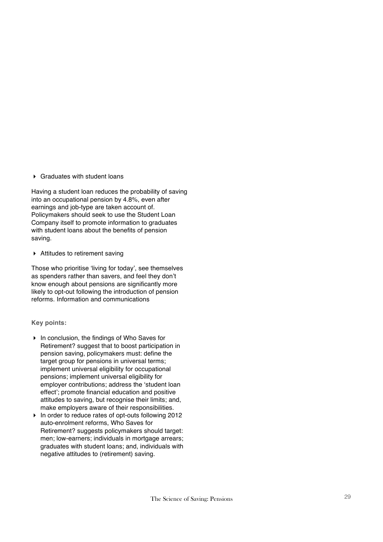! Graduates with student loans

Having a student loan reduces the probability of saving into an occupational pension by 4.8%, even after earnings and job-type are taken account of. Policymakers should seek to use the Student Loan Company itself to promote information to graduates with student loans about the benefits of pension saving.

▶ Attitudes to retirement saving

Those who prioritise ʻliving for today', see themselves as spenders rather than savers, and feel they don't know enough about pensions are significantly more likely to opt-out following the introduction of pension reforms. Information and communications

#### **Key points:**

- ▶ In conclusion, the findings of Who Saves for Retirement? suggest that to boost participation in pension saving, policymakers must: define the target group for pensions in universal terms; implement universal eligibility for occupational pensions; implement universal eligibility for employer contributions; address the ʻstudent loan effect'; promote financial education and positive attitudes to saving, but recognise their limits; and, make employers aware of their responsibilities.
- ! In order to reduce rates of opt-outs following 2012 auto-enrolment reforms, Who Saves for Retirement? suggests policymakers should target: men; low-earners; individuals in mortgage arrears; graduates with student loans; and, individuals with negative attitudes to (retirement) saving.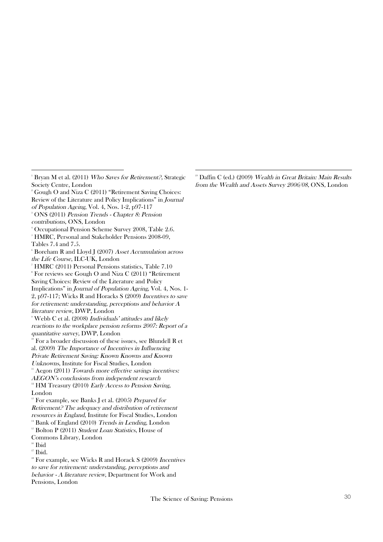- 2 Gough O and Niza C (2011) "Retirement Saving Choices: Review of the Literature and Policy Implications" in Journal of Population Ageing, Vol. 4, Nos. 1-2, p97-117
- 3 ONS (2011) Pension Trends Chapter 8: Pension contributions, ONS, London

4 Occupational Pension Scheme Survey 2008, Table 2.6.

5 HMRC, Personal and Stakeholder Pensions 2008-09, Tables 7.4 and 7.5.

 $6$  Boreham R and Lloyd J (2007) Asset Accumulation across the Life Course, ILC-UK, London

7 HMRC (2011) Personal Pensions statistics, Table 7.10 8 For reviews see Gough O and Niza C (2011) "Retirement Saving Choices: Review of the Literature and Policy Implications" in Journal of Population Ageing, Vol. 4, Nos. 1- 2, p97-117; Wicks R and Horacks S (2009) Incentives to save for retirement: understanding, perceptions and behavior A

literature review, DWP, London 9 <sup>9</sup> Webb C et al. (2008) *Individuals' attitudes and likely* reactions to the workplace pension reforms 2007: Report of a

quantitative survey, DWP, London <sup>10</sup> For a broader discussion of these issues, see Blundell R et al. (2009) The Importance of Incentives in Influencing Private Retirement Saving: Known Knowns and Known

Unknowns, Institute for Fiscal Studies, London

 $\alpha$ <sup>11</sup> Aegon (2011) Towards more effective savings incentives: AEGON's conclusions from independent research

 $12$  HM Treasury (2010) Early Access to Pension Saving, London

 $13$  For example, see Banks J et al. (2005) Prepared for Retirement? The adequacy and distribution of retirement resources in England, Institute for Fiscal Studies, London  $14$  Bank of England (2010) Trends in Lending, London

<sup>15</sup> Bolton P (2011) Student Loan Statistics, House of Commons Library, London

 $16$  Ibid

<u>.</u>

<sup>17</sup> Ibid.

 $18$  For example, see Wicks R and Horack S (2009) Incentives to save for retirement: understanding, perceptions and behavior - A literature review, Department for Work and Pensions, London

<u>.</u> <sup>19</sup> Daffin C (ed.) (2009) Wealth in Great Britain: Main Results from the Wealth and Assets Survey 2006/08, ONS, London

 $^1$  Bryan M et al. (2011) *Who Saves for Retirement?*, Strategic Society Centre, London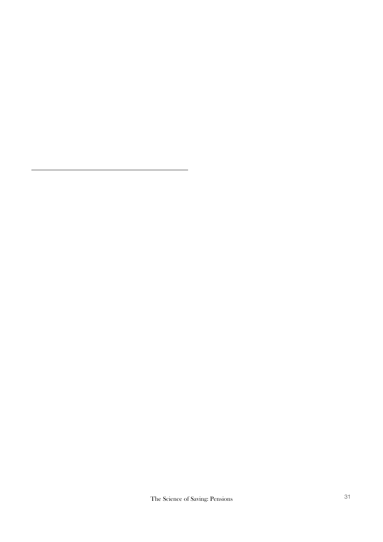The Science of Saving: Pensions 31

<u>.</u>